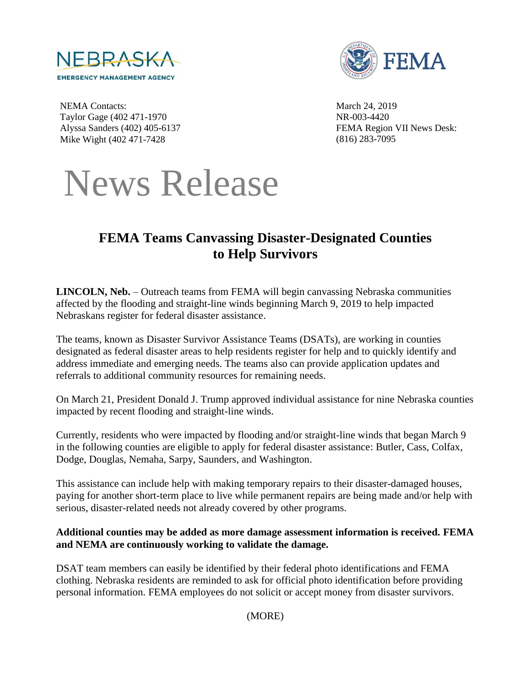



NEMA Contacts: Taylor Gage (402 471-1970 Alyssa Sanders (402) 405-6137 Mike Wight (402 471-7428

March 24, 2019 NR-003-4420 FEMA Region VII News Desk: (816) 283-7095



# **FEMA Teams Canvassing Disaster-Designated Counties to Help Survivors**

**LINCOLN, Neb.** – Outreach teams from FEMA will begin canvassing Nebraska communities affected by the flooding and straight-line winds beginning March 9, 2019 to help impacted Nebraskans register for federal disaster assistance.

The teams, known as Disaster Survivor Assistance Teams (DSATs), are working in counties designated as federal disaster areas to help residents register for help and to quickly identify and address immediate and emerging needs. The teams also can provide application updates and referrals to additional community resources for remaining needs.

On March 21, President Donald J. Trump approved individual assistance for nine Nebraska counties impacted by recent flooding and straight-line winds.

Currently, residents who were impacted by flooding and/or straight-line winds that began March 9 in the following counties are eligible to apply for federal disaster assistance: Butler, Cass, Colfax, Dodge, Douglas, Nemaha, Sarpy, Saunders, and Washington.

This assistance can include help with making temporary repairs to their disaster-damaged houses, paying for another short-term place to live while permanent repairs are being made and/or help with serious, disaster-related needs not already covered by other programs.

#### **Additional counties may be added as more damage assessment information is received. FEMA and NEMA are continuously working to validate the damage.**

DSAT team members can easily be identified by their federal photo identifications and FEMA clothing. Nebraska residents are reminded to ask for official photo identification before providing personal information. FEMA employees do not solicit or accept money from disaster survivors.

(MORE)